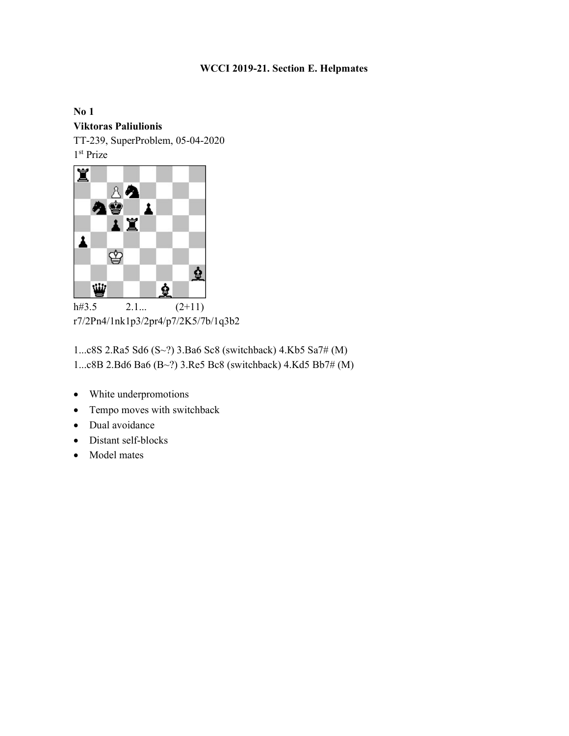## WCCI 2019-21. Section E. Helpmates

No 1 Viktoras Paliulionis TT-239, SuperProblem, 05-04-2020

1 st Prize



r7/2Pn4/1nk1p3/2pr4/p7/2K5/7b/1q3b2

1...c8S 2.Ra5 Sd6 (S~?) 3.Ba6 Sc8 (switchback) 4.Kb5 Sa7# (M) 1...c8B 2.Bd6 Ba6 (B~?) 3.Re5 Bc8 (switchback) 4.Kd5 Bb7# (M)

- White underpromotions
- Tempo moves with switchback
- Dual avoidance
- Distant self-blocks
- Model mates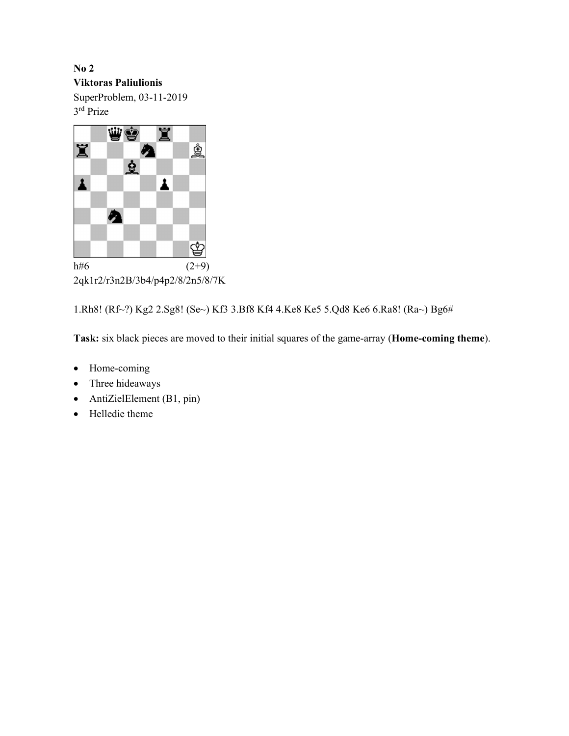No 2 Viktoras Paliulionis SuperProblem, 03-11-2019 3 rd Prize



1.Rh8! (Rf~?) Kg2 2.Sg8! (Se~) Kf3 3.Bf8 Kf4 4.Ke8 Ke5 5.Qd8 Ke6 6.Ra8! (Ra~) Bg6#

Task: six black pieces are moved to their initial squares of the game-array (Home-coming theme).

- Home-coming
- Three hideaways
- AntiZielElement (B1, pin)
- Helledie theme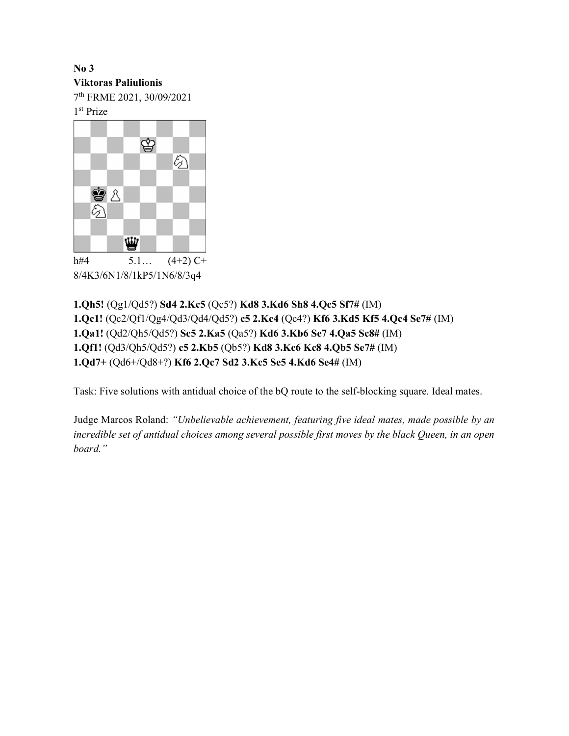## No 3

Viktoras Paliulionis

7 th FRME 2021, 30/09/2021

1 st Prize



1.Qh5! (Qg1/Qd5?) Sd4 2.Kc5 (Qc5?) Kd8 3.Kd6 Sh8 4.Qc5 Sf7# (IM) 1.Qc1! (Qc2/Qf1/Qg4/Qd3/Qd4/Qd5?) c5 2.Kc4 (Qc4?) Kf6 3.Kd5 Kf5 4.Qc4 Se7# (IM) 1.Qa1! (Qd2/Qh5/Qd5?) Sc5 2.Ka5 (Qa5?) Kd6 3.Kb6 Se7 4.Qa5 Sc8# (IM) 1.Qf1! (Qd3/Qh5/Qd5?) c5 2.Kb5 (Qb5?) Kd8 3.Kc6 Kc8 4.Qb5 Se7# (IM) 1.Qd7+ (Qd6+/Qd8+?) Kf6 2.Qc7 Sd2 3.Kc5 Se5 4.Kd6 Se4# (IM)

Task: Five solutions with antidual choice of the bQ route to the self-blocking square. Ideal mates.

Judge Marcos Roland: "Unbelievable achievement, featuring five ideal mates, made possible by an incredible set of antidual choices among several possible first moves by the black Queen, in an open board."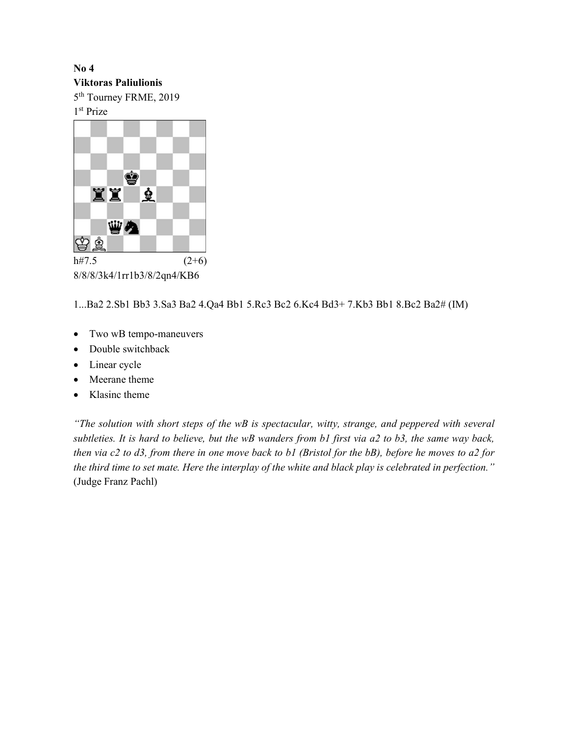## No 4

#### Viktoras Paliulionis

5 th Tourney FRME, 2019

1 st Prize



8/8/8/3k4/1rr1b3/8/2qn4/KB6

1...Ba2 2.Sb1 Bb3 3.Sa3 Ba2 4.Qa4 Bb1 5.Rc3 Bc2 6.Kc4 Bd3+ 7.Kb3 Bb1 8.Bc2 Ba2# (IM)

- Two wB tempo-maneuvers
- Double switchback
- Linear cycle
- Meerane theme
- Klasinc theme

"The solution with short steps of the wB is spectacular, witty, strange, and peppered with several subtleties. It is hard to believe, but the wB wanders from b1 first via a2 to b3, the same way back, then via c2 to d3, from there in one move back to b1 (Bristol for the bB), before he moves to a2 for the third time to set mate. Here the interplay of the white and black play is celebrated in perfection." (Judge Franz Pachl)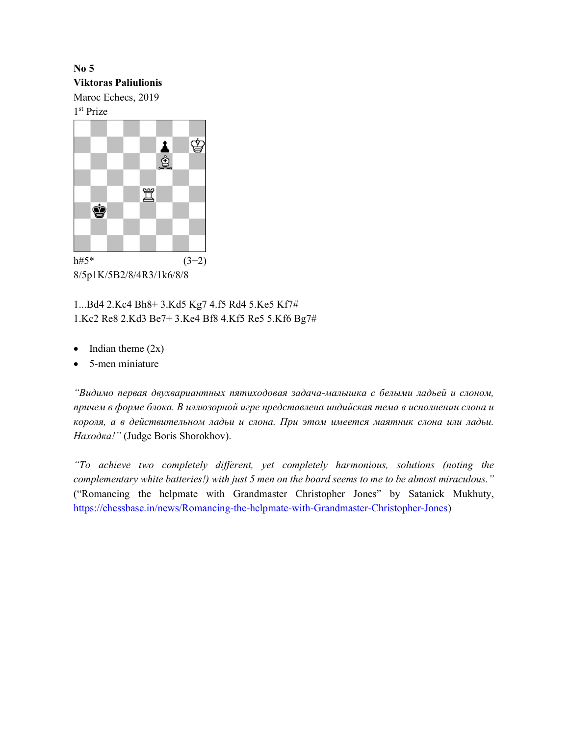No 5 Viktoras Paliulionis Maroc Echecs, 2019

1 st Prize



8/5p1K/5B2/8/4R3/1k6/8/8

1...Bd4 2.Kc4 Bh8+ 3.Kd5 Kg7 4.f5 Rd4 5.Ke5 Kf7# 1.Kc2 Re8 2.Kd3 Be7+ 3.Ke4 Bf8 4.Kf5 Re5 5.Kf6 Bg7#

- $\bullet$  Indian theme  $(2x)$
- 5-men miniature

"Видимо первая двухвариантных пятиходовая задача-малышка с белыми ладьей и слоном, причем в форме блока. В иллюзорной игре представлена индийская тема в исполнении слона и короля, а в действительном ладьи и слона. При этом имеется маятник слона или ладьи. Находка!" (Judge Boris Shorokhov).

"To achieve two completely different, yet completely harmonious, solutions (noting the complementary white batteries!) with just 5 men on the board seems to me to be almost miraculous." ("Romancing the helpmate with Grandmaster Christopher Jones" by Satanick Mukhuty, https://chessbase.in/news/Romancing-the-helpmate-with-Grandmaster-Christopher-Jones)